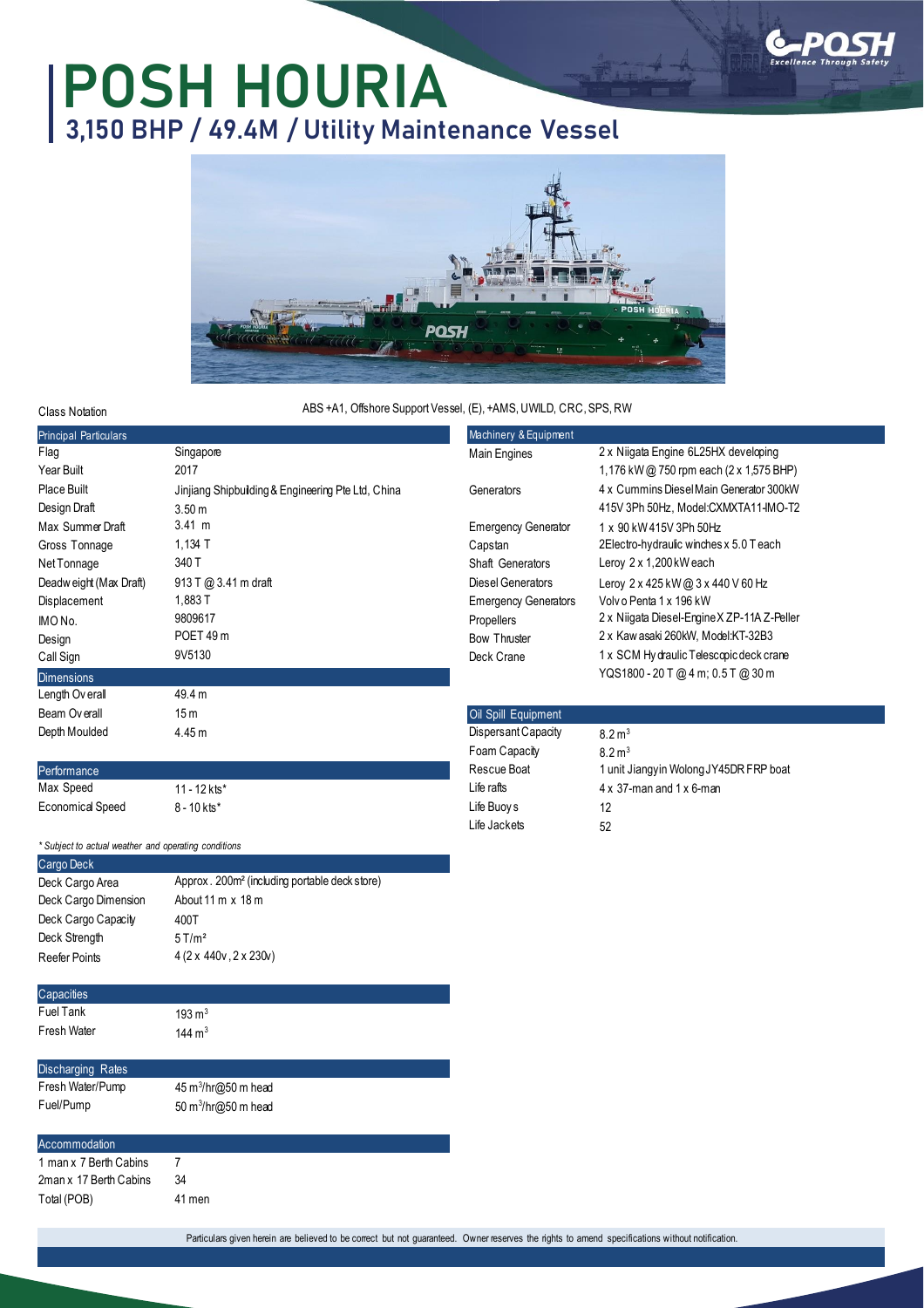

## **POSH HOURIA 3,150 BHP / 49.4M / Utility Maintenance Vessel**



## ABS +A1, Offshore Support Vessel, (E), +AMS, UWILD, CRC, SPS, RW

| Class Notation               | ABS +A1, Offshore Support Vessel, (E), +AMS, UWILD, CRC, SPS, RW |                             |                                                |
|------------------------------|------------------------------------------------------------------|-----------------------------|------------------------------------------------|
| <b>Principal Particulars</b> |                                                                  | Machinery & Equipment       |                                                |
| Flag                         | Singapore                                                        | Main Engines                | 2 x Niigata Engine 6L25HX developing           |
| Year Built                   | 2017                                                             |                             | 1,176 kW @ 750 rpm each $(2 \times 1,575$ BHP) |
| Place Built                  | Jinjiang Shipbuilding & Engineering Pte Ltd, China               | Generators                  | 4 x Cummins Diesel Main Generator 300kW        |
| Design Draft                 | 3.50 <sub>m</sub>                                                |                             | 415V 3Ph 50Hz, Model:CXMXTA11-IMO-T2           |
| Max Summer Draft             | $3.41 \; m$                                                      | <b>Emergency Generator</b>  | 1 x 90 kW 415V 3Ph 50Hz                        |
| Gross Tonnage                | $1,134$ T                                                        | Capstan                     | 2Electro-hydraulic winches x 5.0 T each        |
| Net Tonnage                  | 340 T                                                            | Shaft Generators            | Leroy 2 x 1,200 kW each                        |
| Deadweight (Max Draft)       | 913 T @ 3.41 m draft                                             | Diesel Generators           | Leroy 2 x 425 kW @ 3 x 440 V 60 Hz             |
| Displacement                 | 1,883 T                                                          | <b>Emergency Generators</b> | Volvo Penta 1 x 196 kW                         |
| IMO No.                      | 9809617                                                          | Propellers                  | 2 x Niigata Diesel-Engine X ZP-11A Z-Peller    |
| Design                       | POET 49 m                                                        | <b>Bow Thruster</b>         | 2 x Kaw asaki 260kW, Model:KT-32B3             |
| Call Sign                    | 9V5130                                                           | Deck Crane                  | 1 x SCM Hy draulic Telescopic deck crane       |
| <b>Dimensions</b>            |                                                                  |                             | YQS1800 - 20 T @ 4 m; 0.5 T @ 30 m             |
| Length Overal                | 49.4 m                                                           |                             |                                                |
| Beam Overall                 | 15m                                                              | Oil Spill Equipment         |                                                |
| Depth Moulded                | 4.45 m                                                           | Dispersant Capacity         | $8.2 \,\mathrm{m}^3$                           |
|                              |                                                                  | Foam Capacity               | $8.2 \,\mathrm{m}^3$                           |
| Performance                  |                                                                  | Rescue Boat                 | 1 unit Jiangyin Wolong JY45DR FRP boat         |
| Max Speed                    | $11 - 12$ kts*                                                   | Life rafts                  | $4 \times 37$ -man and $1 \times 6$ -man       |
| <b>Economical Speed</b>      | $8 - 10$ kts*                                                    | Life Buoy s                 | 12                                             |

Life Jackets

52

| * Subject to actual weather and operating conditions |                                                            |  |  |  |
|------------------------------------------------------|------------------------------------------------------------|--|--|--|
| Cargo Deck                                           |                                                            |  |  |  |
| Deck Cargo Area                                      | Approx . 200m <sup>2</sup> (including portable deck store) |  |  |  |
| Deck Cargo Dimension                                 | About 11 m x 18 m                                          |  |  |  |
| Deck Cargo Capacity                                  | 400T                                                       |  |  |  |
| Deck Strength                                        | $5$ T/m <sup>2</sup>                                       |  |  |  |
| Reefer Points                                        | $4(2 \times 440v, 2 \times 230v)$                          |  |  |  |
|                                                      |                                                            |  |  |  |
| Capacities                                           |                                                            |  |  |  |
| Fuel Tank                                            | $193 \text{ m}^3$                                          |  |  |  |
| Fresh Water                                          | 144 $ m3$                                                  |  |  |  |
|                                                      |                                                            |  |  |  |
| <b>Discharging Rates</b>                             |                                                            |  |  |  |
| Fresh Water/Pump                                     | $45 \text{ m}^3/\text{hr}$ @50 m head                      |  |  |  |
| Fuel/Pump                                            | 50 $m^3$ /hr $(2050 \text{ m} \text{ head})$               |  |  |  |
|                                                      |                                                            |  |  |  |

Accommodation 1 man x 7 Berth Cabins 7 2man x 17 Berth Cabins 34 Total (POB) 41 men